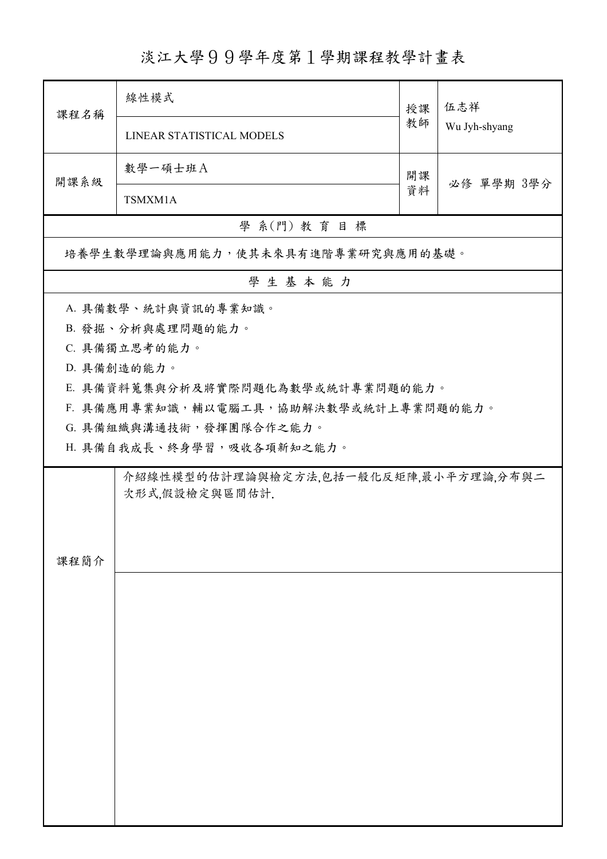## 淡江大學99學年度第1學期課程教學計畫表

| 課程名稱                                                    | 線性模式                                  | 授課 | 伍志祥           |  |  |  |  |
|---------------------------------------------------------|---------------------------------------|----|---------------|--|--|--|--|
|                                                         | LINEAR STATISTICAL MODELS             | 教師 | Wu Jyh-shyang |  |  |  |  |
| 開課系級                                                    | 數學一碩士班A                               | 開課 |               |  |  |  |  |
|                                                         | TSMXM1A                               |    | 必修 單學期 3學分    |  |  |  |  |
| 學 系(門) 教育目標                                             |                                       |    |               |  |  |  |  |
| 培養學生數學理論與應用能力,使其未來具有進階專業研究與應用的基礎。                       |                                       |    |               |  |  |  |  |
| 學生基本能力                                                  |                                       |    |               |  |  |  |  |
| A. 具備數學、統計與資訊的專業知識。                                     |                                       |    |               |  |  |  |  |
|                                                         | B. 發掘、分析與處理問題的能力。                     |    |               |  |  |  |  |
|                                                         | C. 具備獨立思考的能力。                         |    |               |  |  |  |  |
|                                                         | D. 具備創造的能力。                           |    |               |  |  |  |  |
|                                                         | E. 具備資料蒐集與分析及將實際問題化為數學或統計專業問題的能力。     |    |               |  |  |  |  |
|                                                         | F. 具備應用專業知識,輔以電腦工具,協助解決數學或統計上專業問題的能力。 |    |               |  |  |  |  |
|                                                         | G. 具備組織與溝通技術,發揮團隊合作之能力。               |    |               |  |  |  |  |
|                                                         | H. 具備自我成長、終身學習,吸收各項新知之能力。             |    |               |  |  |  |  |
| 介紹線性模型的估計理論與檢定方法,包括一般化反矩陣,最小平方理論,分布與二<br>次形式,假設檢定與區間估計. |                                       |    |               |  |  |  |  |
|                                                         |                                       |    |               |  |  |  |  |
|                                                         |                                       |    |               |  |  |  |  |
|                                                         |                                       |    |               |  |  |  |  |
| 課程簡介                                                    |                                       |    |               |  |  |  |  |
|                                                         |                                       |    |               |  |  |  |  |
|                                                         |                                       |    |               |  |  |  |  |
|                                                         |                                       |    |               |  |  |  |  |
|                                                         |                                       |    |               |  |  |  |  |
|                                                         |                                       |    |               |  |  |  |  |
|                                                         |                                       |    |               |  |  |  |  |
|                                                         |                                       |    |               |  |  |  |  |
|                                                         |                                       |    |               |  |  |  |  |
|                                                         |                                       |    |               |  |  |  |  |
|                                                         |                                       |    |               |  |  |  |  |
|                                                         |                                       |    |               |  |  |  |  |
|                                                         |                                       |    |               |  |  |  |  |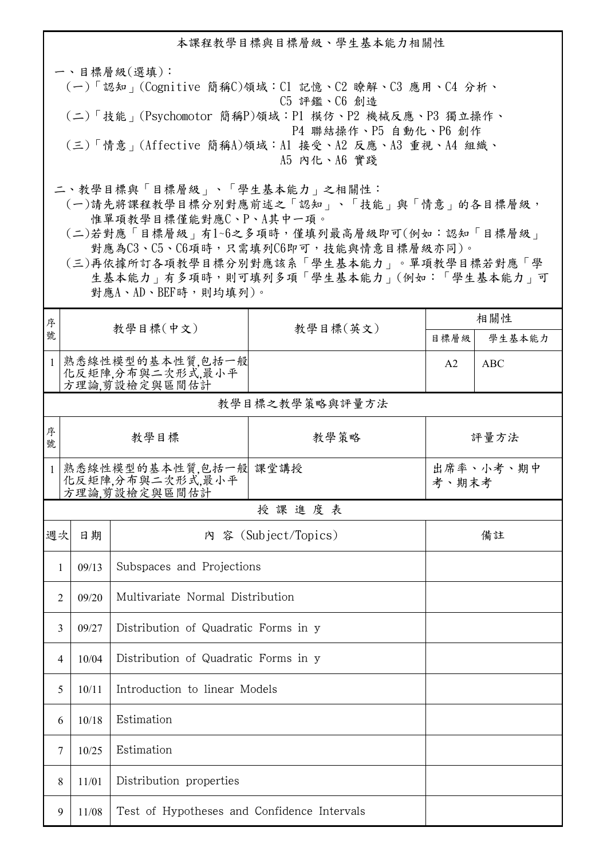本課程教學目標與目標層級、學生基本能力相關性

一、目標層級(選填): (一)「認知」(Cognitive 簡稱C)領域:C1 記憶、C2 瞭解、C3 應用、C4 分析、 C5 評鑑、C6 創造 (二)「技能」(Psychomotor 簡稱P)領域:P1 模仿、P2 機械反應、P3 獨立操作、 P4 聯結操作、P5 自動化、P6 創作 (三)「情意」(Affective 簡稱A)領域:A1 接受、A2 反應、A3 重視、A4 組織、 A5 內化、A6 實踐

二、教學目標與「目標層級」、「學生基本能力」之相關性:

 (一)請先將課程教學目標分別對應前述之「認知」、「技能」與「情意」的各目標層級, 惟單項教學目標僅能對應C、P、A其中一項。

 (二)若對應「目標層級」有1~6之多項時,僅填列最高層級即可(例如:認知「目標層級」 對應為C3、C5、C6項時,只需填列C6即可,技能與情意目標層級亦同)。

 (三)再依據所訂各項教學目標分別對應該系「學生基本能力」。單項教學目標若對應「學 生基本能力」有多項時,則可填列多項「學生基本能力」(例如:「學生基本能力」可 對應A、AD、BEF時,則均填列)。

| 序            |                |                                                            |          | 相關性                |            |  |  |  |
|--------------|----------------|------------------------------------------------------------|----------|--------------------|------------|--|--|--|
| 號            |                | 教學目標(中文)                                                   | 教學目標(英文) | 目標層級               | 學生基本能力     |  |  |  |
| $\mathbf{1}$ |                | 熟悉線性模型的基本性質,包括一般<br>化反矩陣,分布與二次形式,最小平<br>方理論,剪設檢定與區間估計      |          | A2                 | <b>ABC</b> |  |  |  |
|              | 教學目標之教學策略與評量方法 |                                                            |          |                    |            |  |  |  |
| 序<br>號       |                | 教學目標                                                       | 教學策略     | 評量方法               |            |  |  |  |
| $\mathbf{1}$ |                | 熟悉線性模型的基本性質,包括一般 課堂講授<br>化反矩陣,分布與二次形式,最小平<br>方理論,剪設檢定與區間估計 |          | 出席率、小考、期中<br>考、期末考 |            |  |  |  |
|              |                |                                                            | 授課進度表    |                    |            |  |  |  |
| 週次           | 日期             | 內 容 (Subject/Topics)                                       |          | 備註                 |            |  |  |  |
| 1            | 09/13          | Subspaces and Projections                                  |          |                    |            |  |  |  |
| 2            | 09/20          | Multivariate Normal Distribution                           |          |                    |            |  |  |  |
| 3            | 09/27          | Distribution of Quadratic Forms in y                       |          |                    |            |  |  |  |
| 4            | 10/04          | Distribution of Quadratic Forms in y                       |          |                    |            |  |  |  |
| 5            | 10/11          | Introduction to linear Models                              |          |                    |            |  |  |  |
| 6            | 10/18          | Estimation                                                 |          |                    |            |  |  |  |
| 7            | 10/25          | Estimation                                                 |          |                    |            |  |  |  |
| 8            | 11/01          | Distribution properties                                    |          |                    |            |  |  |  |
| 9            | 11/08          | Test of Hypotheses and Confidence Intervals                |          |                    |            |  |  |  |